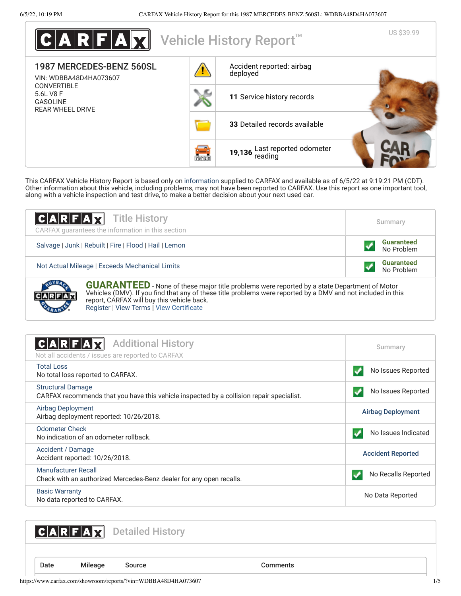

This CARFAX Vehicle History Report is based only on [information](http://www.carfax.com/company/vhr-data-sources) supplied to CARFAX and available as of 6/5/22 at 9:19:21 PM (CDT). Other information about this vehicle, including problems, may not have been reported to CARFAX. Use this report as one important tool, along with a vehicle inspection and test drive, to make a better decision about your next used car.

| C A R F A                                                                         | <b>Title History</b><br>CARFAX quarantees the information in this section                                                                                                                                                                                                                                     | Summary                         |
|-----------------------------------------------------------------------------------|---------------------------------------------------------------------------------------------------------------------------------------------------------------------------------------------------------------------------------------------------------------------------------------------------------------|---------------------------------|
| Salvage   Junk   Rebuilt   Fire   Flood   Hail   Lemon                            |                                                                                                                                                                                                                                                                                                               | <b>Guaranteed</b><br>No Problem |
| <b>Guaranteed</b><br>Not Actual Mileage   Exceeds Mechanical Limits<br>No Problem |                                                                                                                                                                                                                                                                                                               |                                 |
|                                                                                   | <b>GUARANTEED</b> - None of these major title problems were reported by a state Department of Motor<br>Vehicles (DMV). If you find that any of these title problems were reported by a DMV and not included in this<br>report, CARFAX will buy this vehicle back.<br>Register   View Terms   View Certificate |                                 |

<span id="page-0-1"></span>

| <b>Additional History</b><br>$ {\bf C} {\bf A} {\bf R} $ ${\bf F} {\bf A} {\bf M}$<br>Not all accidents / issues are reported to CARFAX | Summary                  |
|-----------------------------------------------------------------------------------------------------------------------------------------|--------------------------|
| Total Loss<br>No total loss reported to CARFAX.                                                                                         | No Issues Reported       |
| <b>Structural Damage</b><br>CARFAX recommends that you have this vehicle inspected by a collision repair specialist.                    | No Issues Reported       |
| Airbag Deployment<br>Airbag deployment reported: 10/26/2018.                                                                            | <b>Airbag Deployment</b> |
| <b>Odometer Check</b><br>No indication of an odometer rollback.                                                                         | No Issues Indicated      |
| Accident / Damage<br>Accident reported: 10/26/2018.                                                                                     | <b>Accident Reported</b> |
| <b>Manufacturer Recall</b><br>Check with an authorized Mercedes-Benz dealer for any open recalls.                                       | No Recalls Reported      |
| <b>Basic Warranty</b><br>No data reported to CARFAX.                                                                                    | No Data Reported         |

<span id="page-0-2"></span>CARFAX Detailed History

<span id="page-0-0"></span>

Date Mileage Source **Comments**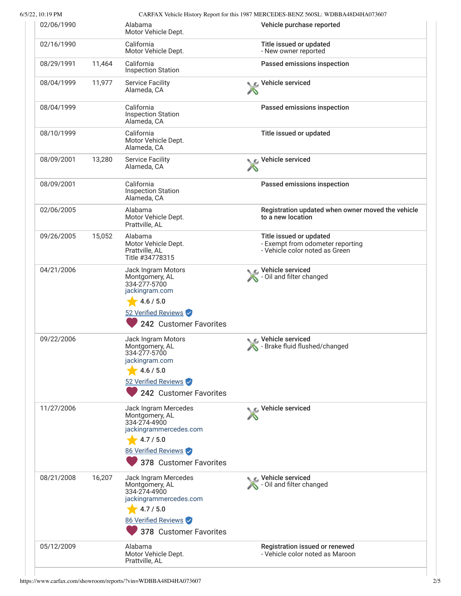6/5/22, 10:19 PM CARFAX Vehicle History Report for this 1987 MERCEDES-BENZ 560SL: WDBBA48D4HA073607

| 02/06/1990 |        | Alabama<br>Motor Vehicle Dept.                                                                                                                 | Vehicle purchase reported                                                                     |
|------------|--------|------------------------------------------------------------------------------------------------------------------------------------------------|-----------------------------------------------------------------------------------------------|
| 02/16/1990 |        | California<br>Motor Vehicle Dept.                                                                                                              | Title issued or updated<br>- New owner reported                                               |
| 08/29/1991 | 11,464 | California<br><b>Inspection Station</b>                                                                                                        | Passed emissions inspection                                                                   |
| 08/04/1999 | 11,977 | <b>Service Facility</b><br>Alameda, CA                                                                                                         | Vehicle serviced                                                                              |
| 08/04/1999 |        | California<br><b>Inspection Station</b><br>Alameda, CA                                                                                         | Passed emissions inspection                                                                   |
| 08/10/1999 |        | California<br>Motor Vehicle Dept.<br>Alameda, CA                                                                                               | Title issued or updated                                                                       |
| 08/09/2001 | 13,280 | <b>Service Facility</b><br>Alameda, CA                                                                                                         | Vehicle serviced                                                                              |
| 08/09/2001 |        | California<br><b>Inspection Station</b><br>Alameda, CA                                                                                         | Passed emissions inspection                                                                   |
| 02/06/2005 |        | Alabama<br>Motor Vehicle Dept.<br>Prattville, AL                                                                                               | Registration updated when owner moved the vehicle<br>to a new location                        |
| 09/26/2005 | 15,052 | Alabama<br>Motor Vehicle Dept.<br>Prattville, AL<br>Title #34778315                                                                            | Title issued or updated<br>- Exempt from odometer reporting<br>- Vehicle color noted as Green |
| 04/21/2006 |        | Jack Ingram Motors<br>Montgomery, AL<br>334-277-5700<br>jackingram.com<br>4.6 / 5.0<br>52 Verified Reviews<br>242 Customer Favorites           | Vehicle serviced<br>- Oil and filter changed                                                  |
| 09/22/2006 |        | Jack Ingram Motors<br>Montgomery, AL<br>334-277-5700<br>jackingram.com<br>4.6 / 5.0<br>52 Verified Reviews<br>242 Customer Favorites           | Vehicle serviced<br>- Brake fluid flushed/changed                                             |
| 11/27/2006 |        | Jack Ingram Mercedes<br>Montgomery, AL<br>334-274-4900<br>jackingrammercedes.com<br>4.7 / 5.0<br>86 Verified Reviews<br>378 Customer Favorites | Vehicle serviced                                                                              |
| 08/21/2008 | 16,207 | Jack Ingram Mercedes<br>Montgomery, AL<br>334-274-4900<br>jackingrammercedes.com<br>4.7 / 5.0<br>86 Verified Reviews<br>378 Customer Favorites | Vehicle serviced<br>- Oil and filter changed                                                  |
| 05/12/2009 |        | Alabama<br>Motor Vehicle Dept.<br>Prattville, AL                                                                                               | Registration issued or renewed<br>- Vehicle color noted as Maroon                             |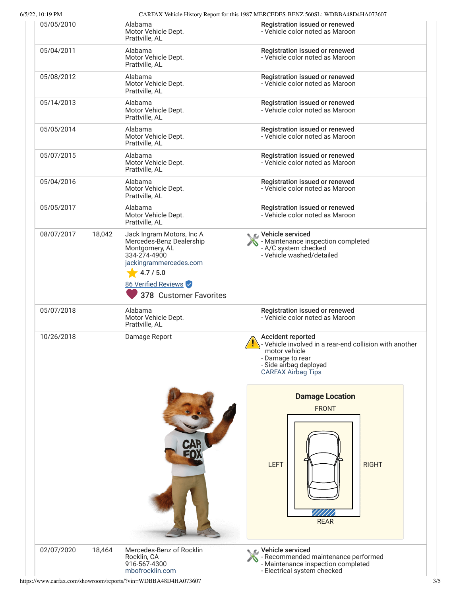6/5/22, 10:19 PM CARFAX Vehicle History Report for this 1987 MERCEDES-BENZ 560SL: WDBBA48D4HA073607

| 02/07/2020 | 18,464 | Mercedes-Benz of Rocklin<br>Rocklin, CA<br>916-567-4300<br>mbofrocklin.com                           | C Vehicle serviced<br>- Recommended maintenance performed<br>- Maintenance inspection completed<br>- Electrical system checked                                           |
|------------|--------|------------------------------------------------------------------------------------------------------|--------------------------------------------------------------------------------------------------------------------------------------------------------------------------|
|            |        | <b>CAR</b>                                                                                           | <b>Damage Location</b><br><b>FRONT</b><br><b>LEFT</b><br><b>RIGHT</b><br><b>REAR</b>                                                                                     |
| 10/26/2018 |        | Damage Report                                                                                        | Accident reported<br>- Vehicle involved in a rear-end collision with another<br>motor vehicle<br>- Damage to rear<br>- Side airbag deployed<br><b>CARFAX Airbag Tips</b> |
| 05/07/2018 |        | Alabama<br>Motor Vehicle Dept.<br>Prattville, AL                                                     | Registration issued or renewed<br>- Vehicle color noted as Maroon                                                                                                        |
|            |        | 334-274-4900<br>jackingrammercedes.com<br>4.7 / 5.0<br>86 Verified Reviews<br>378 Customer Favorites | - Vehicle washed/detailed                                                                                                                                                |
| 08/07/2017 | 18,042 | Jack Ingram Motors, Inc A<br>Mercedes-Benz Dealership<br>Montgomery, AL                              | C Vehicle serviced<br>- Maintenance inspection completed<br>- A/C system checked                                                                                         |
| 05/05/2017 |        | Alabama<br>Motor Vehicle Dept.<br>Prattville, AL                                                     | Registration issued or renewed<br>- Vehicle color noted as Maroon                                                                                                        |
| 05/04/2016 |        | Alabama<br>Motor Vehicle Dept.<br>Prattville, AL                                                     | Registration issued or renewed<br>- Vehicle color noted as Maroon                                                                                                        |
| 05/07/2015 |        | Alabama<br>Motor Vehicle Dept.<br>Prattville, AL                                                     | Registration issued or renewed<br>- Vehicle color noted as Maroon                                                                                                        |
| 05/05/2014 |        | Alabama<br>Motor Vehicle Dept.<br>Prattville, AL                                                     | Registration issued or renewed<br>- Vehicle color noted as Maroon                                                                                                        |
| 05/14/2013 |        | Alabama<br>Motor Vehicle Dept.<br>Prattville, AL                                                     | Registration issued or renewed<br>- Vehicle color noted as Maroon                                                                                                        |
| 05/08/2012 |        | Alabama<br>Motor Vehicle Dept.<br>Prattville, AL                                                     | Registration issued or renewed<br>- Vehicle color noted as Maroon                                                                                                        |
| 05/04/2011 |        | Alabama<br>Motor Vehicle Dept.<br>Prattville, AL                                                     | Registration issued or renewed<br>- Vehicle color noted as Maroon                                                                                                        |
|            |        | Motor Vehicle Dept.<br>Prattville, AL                                                                | - Vehicle color noted as Maroon                                                                                                                                          |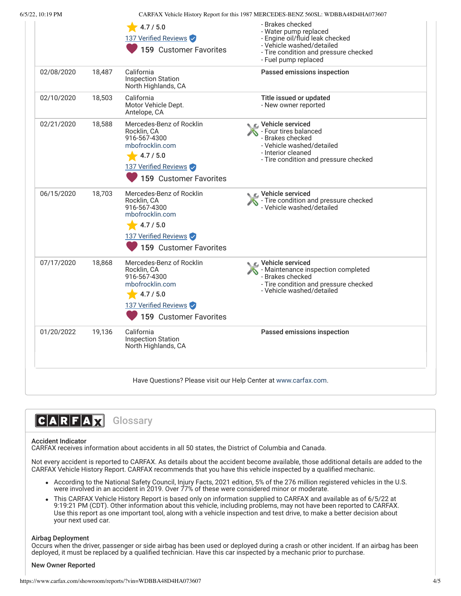|            |        | 4.7 / 5.0<br>137 Verified Reviews                                                                                                         | - Brakes checked<br>- Water pump replaced<br>- Engine oil/fluid leak checked                                                                              |
|------------|--------|-------------------------------------------------------------------------------------------------------------------------------------------|-----------------------------------------------------------------------------------------------------------------------------------------------------------|
|            |        | 159 Customer Favorites                                                                                                                    | - Vehicle washed/detailed<br>- Tire condition and pressure checked<br>- Fuel pump replaced                                                                |
| 02/08/2020 | 18,487 | California<br><b>Inspection Station</b><br>North Highlands, CA                                                                            | Passed emissions inspection                                                                                                                               |
| 02/10/2020 | 18,503 | California<br>Motor Vehicle Dept.<br>Antelope, CA                                                                                         | Title issued or updated<br>- New owner reported                                                                                                           |
| 02/21/2020 | 18,588 | Mercedes-Benz of Rocklin<br>Rocklin, CA<br>916-567-4300<br>mbofrocklin.com<br>4.7/5.0<br>137 Verified Reviews<br>159 Customer Favorites   | Vehicle serviced<br>- Four tires balanced<br>- Brakes checked<br>- Vehicle washed/detailed<br>- Interior cleaned<br>- Tire condition and pressure checked |
| 06/15/2020 | 18,703 | Mercedes-Benz of Rocklin<br>Rocklin, CA<br>916-567-4300<br>mbofrocklin.com<br>4.7 / 5.0<br>137 Verified Reviews<br>159 Customer Favorites | Vehicle serviced<br>- Tire condition and pressure checked<br>- Vehicle washed/detailed                                                                    |
| 07/17/2020 | 18,868 | Mercedes-Benz of Rocklin<br>Rocklin, CA<br>916-567-4300<br>mbofrocklin.com<br>4.7 / 5.0<br>137 Verified Reviews<br>159 Customer Favorites | Vehicle serviced<br>- Maintenance inspection completed<br>- Brakes checked<br>- Tire condition and pressure checked<br>- Vehicle washed/detailed          |
| 01/20/2022 | 19,136 | California<br><b>Inspection Station</b><br>North Highlands, CA                                                                            | Passed emissions inspection                                                                                                                               |
|            |        | Have Questions? Please visit our Help Center at www.carfax.com.                                                                           |                                                                                                                                                           |



# Accident Indicator

CARFAX receives information about accidents in all 50 states, the District of Columbia and Canada.

Not every accident is reported to CARFAX. As details about the accident become available, those additional details are added to the CARFAX Vehicle History Report. CARFAX recommends that you have this vehicle inspected by a qualified mechanic.

- According to the National Safety Council, Injury Facts, 2021 edition, 5% of the 276 million registered vehicles in the U.S. were involved in an accident in 2019. Over 77% of these were considered minor or moderate.
- This CARFAX Vehicle History Report is based only on information supplied to CARFAX and available as of 6/5/22 at 9:19:21 PM (CDT). Other information about this vehicle, including problems, may not have been reported to CARFAX. Use this report as one important tool, along with a vehicle inspection and test drive, to make a better decision about your next used car.

# Airbag Deployment

Occurs when the driver, passenger or side airbag has been used or deployed during a crash or other incident. If an airbag has been deployed, it must be replaced by a qualified technician. Have this car inspected by a mechanic prior to purchase.

# New Owner Reported